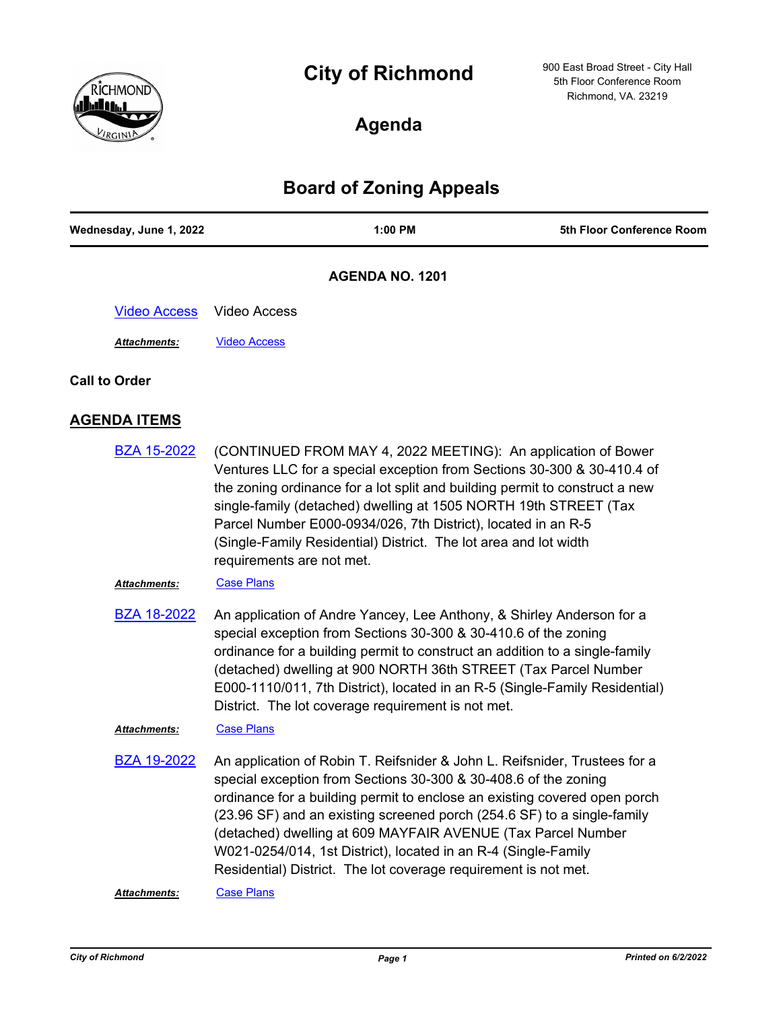# **City of Richmond**



900 East Broad Street - City Hall 5th Floor Conference Room Richmond, VA. 23219

# **Agenda**

## **Board of Zoning Appeals**

| Wednesday, June 1, 2022 | 1:00 PM                                                                                                                                                                                                                                                                                                                                                                                                                                                                                                    | 5th Floor Conference Room |
|-------------------------|------------------------------------------------------------------------------------------------------------------------------------------------------------------------------------------------------------------------------------------------------------------------------------------------------------------------------------------------------------------------------------------------------------------------------------------------------------------------------------------------------------|---------------------------|
|                         | <b>AGENDA NO. 1201</b>                                                                                                                                                                                                                                                                                                                                                                                                                                                                                     |                           |
| <b>Video Access</b>     | <b>Video Access</b>                                                                                                                                                                                                                                                                                                                                                                                                                                                                                        |                           |
| Attachments:            | <b>Video Access</b>                                                                                                                                                                                                                                                                                                                                                                                                                                                                                        |                           |
| <b>Call to Order</b>    |                                                                                                                                                                                                                                                                                                                                                                                                                                                                                                            |                           |
| <b>AGENDA ITEMS</b>     |                                                                                                                                                                                                                                                                                                                                                                                                                                                                                                            |                           |
| <b>BZA 15-2022</b>      | (CONTINUED FROM MAY 4, 2022 MEETING): An application of Bower<br>Ventures LLC for a special exception from Sections 30-300 & 30-410.4 of<br>the zoning ordinance for a lot split and building permit to construct a new<br>single-family (detached) dwelling at 1505 NORTH 19th STREET (Tax<br>Parcel Number E000-0934/026, 7th District), located in an R-5<br>(Single-Family Residential) District. The lot area and lot width<br>requirements are not met.                                              |                           |
| Attachments:            | <b>Case Plans</b>                                                                                                                                                                                                                                                                                                                                                                                                                                                                                          |                           |
| <b>BZA 18-2022</b>      | An application of Andre Yancey, Lee Anthony, & Shirley Anderson for a<br>special exception from Sections 30-300 & 30-410.6 of the zoning<br>ordinance for a building permit to construct an addition to a single-family<br>(detached) dwelling at 900 NORTH 36th STREET (Tax Parcel Number<br>E000-1110/011, 7th District), located in an R-5 (Single-Family Residential)<br>District. The lot coverage requirement is not met.                                                                            |                           |
| Attachments:            | <b>Case Plans</b>                                                                                                                                                                                                                                                                                                                                                                                                                                                                                          |                           |
| <b>BZA 19-2022</b>      | An application of Robin T. Reifsnider & John L. Reifsnider, Trustees for a<br>special exception from Sections 30-300 & 30-408.6 of the zoning<br>ordinance for a building permit to enclose an existing covered open porch<br>(23.96 SF) and an existing screened porch (254.6 SF) to a single-family<br>(detached) dwelling at 609 MAYFAIR AVENUE (Tax Parcel Number<br>W021-0254/014, 1st District), located in an R-4 (Single-Family<br>Residential) District. The lot coverage requirement is not met. |                           |
| Attachments:            | <b>Case Plans</b>                                                                                                                                                                                                                                                                                                                                                                                                                                                                                          |                           |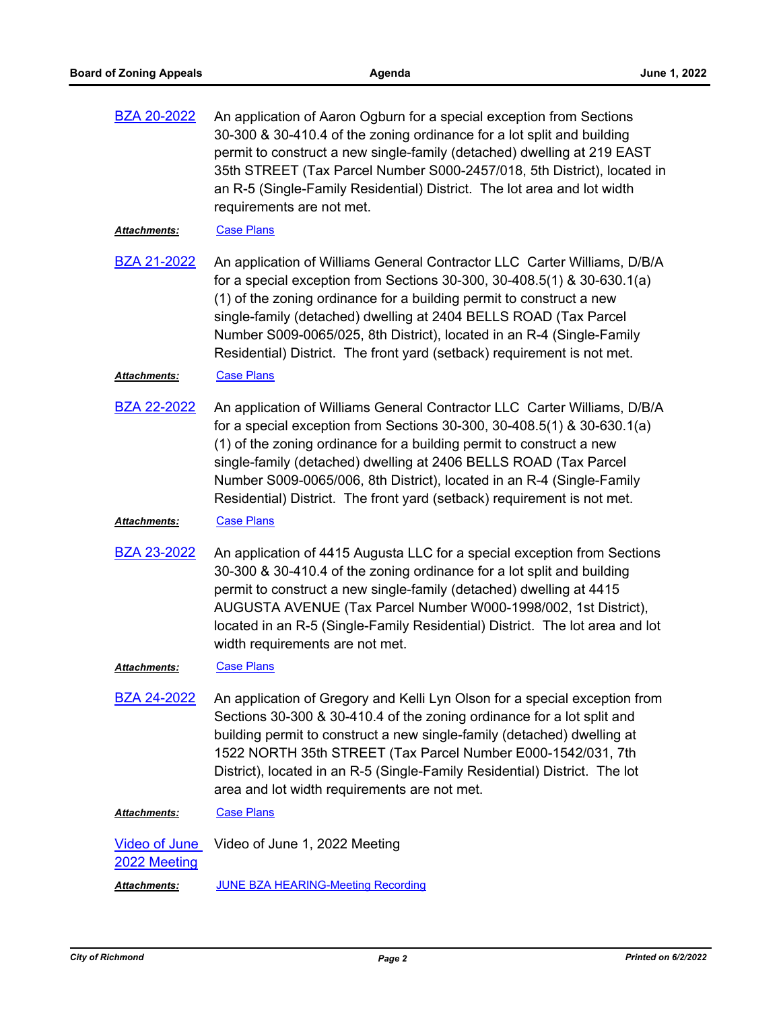| <b>BZA 20-2022</b> | An application of Aaron Ogburn for a special exception from Sections    |
|--------------------|-------------------------------------------------------------------------|
|                    | 30-300 & 30-410.4 of the zoning ordinance for a lot split and building  |
|                    | permit to construct a new single-family (detached) dwelling at 219 EAST |
|                    | 35th STREET (Tax Parcel Number S000-2457/018, 5th District), located in |
|                    | an R-5 (Single-Family Residential) District. The lot area and lot width |
|                    | requirements are not met.                                               |
|                    |                                                                         |

#### Attachments: [Case Plans](http://richmondva.legistar.com/gateway.aspx?M=F&ID=c706aa21-72d0-4431-b663-3bcbb56a2634.pdf)

An application of Williams General Contractor LLC Carter Williams, D/B/A for a special exception from Sections 30-300, 30-408.5(1) & 30-630.1(a) (1) of the zoning ordinance for a building permit to construct a new single-family (detached) dwelling at 2404 BELLS ROAD (Tax Parcel Number S009-0065/025, 8th District), located in an R-4 (Single-Family Residential) District. The front yard (setback) requirement is not met. [BZA 21-2022](http://richmondva.legistar.com/gateway.aspx?m=l&id=/matter.aspx?key=32170)

#### Attachments: [Case Plans](http://richmondva.legistar.com/gateway.aspx?M=F&ID=71f80c52-c520-40f8-94e0-d9812ba4f767.pdf)

An application of Williams General Contractor LLC Carter Williams, D/B/A for a special exception from Sections 30-300, 30-408.5(1) & 30-630.1(a) (1) of the zoning ordinance for a building permit to construct a new single-family (detached) dwelling at 2406 BELLS ROAD (Tax Parcel Number S009-0065/006, 8th District), located in an R-4 (Single-Family Residential) District. The front yard (setback) requirement is not met. [BZA 22-2022](http://richmondva.legistar.com/gateway.aspx?m=l&id=/matter.aspx?key=32171)

#### *Attachments:* [Case Plans](http://richmondva.legistar.com/gateway.aspx?M=F&ID=82b2e5bf-f623-4015-8252-f6f8a7221ed4.pdf)

An application of 4415 Augusta LLC for a special exception from Sections 30-300 & 30-410.4 of the zoning ordinance for a lot split and building permit to construct a new single-family (detached) dwelling at 4415 AUGUSTA AVENUE (Tax Parcel Number W000-1998/002, 1st District), located in an R-5 (Single-Family Residential) District. The lot area and lot width requirements are not met. [BZA 23-2022](http://richmondva.legistar.com/gateway.aspx?m=l&id=/matter.aspx?key=32172)

### *Attachments:* [Case Plans](http://richmondva.legistar.com/gateway.aspx?M=F&ID=2955e343-a2e9-4f42-9399-829a78c45ade.pdf)

An application of Gregory and Kelli Lyn Olson for a special exception from Sections 30-300 & 30-410.4 of the zoning ordinance for a lot split and building permit to construct a new single-family (detached) dwelling at 1522 NORTH 35th STREET (Tax Parcel Number E000-1542/031, 7th District), located in an R-5 (Single-Family Residential) District. The lot area and lot width requirements are not met. [BZA 24-2022](http://richmondva.legistar.com/gateway.aspx?m=l&id=/matter.aspx?key=32173)

*Attachments:* [Case Plans](http://richmondva.legistar.com/gateway.aspx?M=F&ID=d68e52e0-ac9a-4643-b857-e3f60e00d60c.pdf)

[Video of June](http://richmondva.legistar.com/gateway.aspx?m=l&id=/matter.aspx?key=32244) Video of June 1, 2022 Meeting 2022 Meeting *Attachments:* [JUNE BZA HEARING-Meeting Recording](http://richmondva.legistar.com/gateway.aspx?M=F&ID=47d8b20b-66d9-4cad-8798-52b0db2e7013.mp4)